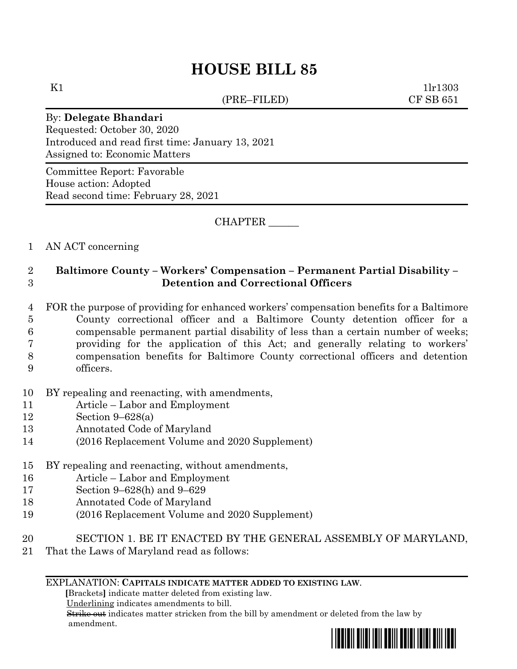# **HOUSE BILL 85**

(PRE–FILED) CF SB 651

K1  $1\text{lr}1303$ 

#### By: **Delegate Bhandari**

Requested: October 30, 2020 Introduced and read first time: January 13, 2021 Assigned to: Economic Matters

Committee Report: Favorable House action: Adopted Read second time: February 28, 2021

CHAPTER \_\_\_\_\_\_

## 1 AN ACT concerning

# 2 **Baltimore County – Workers' Compensation – Permanent Partial Disability –** 3 **Detention and Correctional Officers**

 FOR the purpose of providing for enhanced workers' compensation benefits for a Baltimore County correctional officer and a Baltimore County detention officer for a compensable permanent partial disability of less than a certain number of weeks; providing for the application of this Act; and generally relating to workers' compensation benefits for Baltimore County correctional officers and detention officers.

## 10 BY repealing and reenacting, with amendments,

- 11 Article Labor and Employment
- 12 Section 9–628(a)
- 13 Annotated Code of Maryland
- 14 (2016 Replacement Volume and 2020 Supplement)

## 15 BY repealing and reenacting, without amendments,

- 16 Article Labor and Employment
- 17 Section 9–628(h) and 9–629
- 18 Annotated Code of Maryland
- 19 (2016 Replacement Volume and 2020 Supplement)
- 20 SECTION 1. BE IT ENACTED BY THE GENERAL ASSEMBLY OF MARYLAND,
- 21 That the Laws of Maryland read as follows:

## EXPLANATION: **CAPITALS INDICATE MATTER ADDED TO EXISTING LAW**.

 **[**Brackets**]** indicate matter deleted from existing law.

Underlining indicates amendments to bill.

 Strike out indicates matter stricken from the bill by amendment or deleted from the law by amendment.

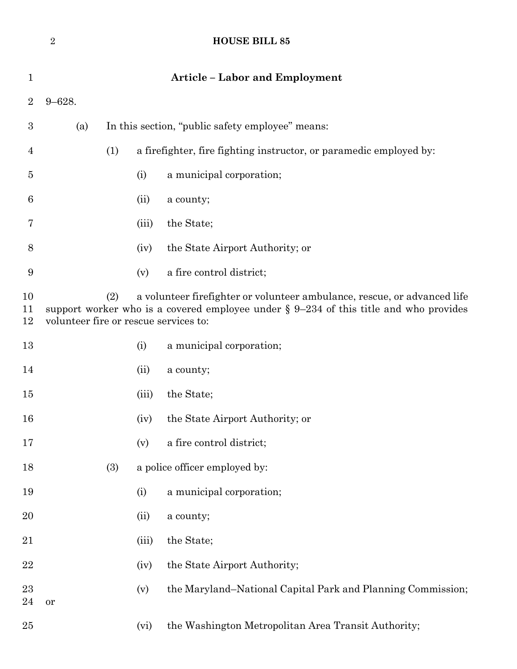|                  | $\sqrt{2}$                                                                                                                                                                                                           |                                                  |       | <b>HOUSE BILL 85</b>                                               |  |  |  |
|------------------|----------------------------------------------------------------------------------------------------------------------------------------------------------------------------------------------------------------------|--------------------------------------------------|-------|--------------------------------------------------------------------|--|--|--|
| 1                |                                                                                                                                                                                                                      |                                                  |       | <b>Article - Labor and Employment</b>                              |  |  |  |
| $\overline{2}$   | $9 - 628.$                                                                                                                                                                                                           |                                                  |       |                                                                    |  |  |  |
| $\boldsymbol{3}$ | (a)                                                                                                                                                                                                                  | In this section, "public safety employee" means: |       |                                                                    |  |  |  |
| 4                |                                                                                                                                                                                                                      | (1)                                              |       | a firefighter, fire fighting instructor, or paramedic employed by: |  |  |  |
| 5                |                                                                                                                                                                                                                      |                                                  | (i)   | a municipal corporation;                                           |  |  |  |
| 6                |                                                                                                                                                                                                                      |                                                  | (ii)  | a county;                                                          |  |  |  |
| 7                |                                                                                                                                                                                                                      |                                                  | (iii) | the State;                                                         |  |  |  |
| 8                |                                                                                                                                                                                                                      |                                                  | (iv)  | the State Airport Authority; or                                    |  |  |  |
| 9                |                                                                                                                                                                                                                      |                                                  | (v)   | a fire control district;                                           |  |  |  |
| 10<br>11<br>12   | a volunteer firefighter or volunteer ambulance, rescue, or advanced life<br>(2)<br>support worker who is a covered employee under $\S 9-234$ of this title and who provides<br>volunteer fire or rescue services to: |                                                  |       |                                                                    |  |  |  |
| 13               |                                                                                                                                                                                                                      |                                                  | (i)   | a municipal corporation;                                           |  |  |  |
| 14               |                                                                                                                                                                                                                      |                                                  | (ii)  | a county;                                                          |  |  |  |
| 15               |                                                                                                                                                                                                                      |                                                  | (iii) | the State;                                                         |  |  |  |
| 16               |                                                                                                                                                                                                                      |                                                  | (iv)  | the State Airport Authority; or                                    |  |  |  |
| 17               |                                                                                                                                                                                                                      |                                                  | (v)   | a fire control district;                                           |  |  |  |
| 18               |                                                                                                                                                                                                                      | (3)<br>a police officer employed by:             |       |                                                                    |  |  |  |
| 19               |                                                                                                                                                                                                                      |                                                  | (i)   | a municipal corporation;                                           |  |  |  |
| 20               |                                                                                                                                                                                                                      |                                                  | (ii)  | a county;                                                          |  |  |  |
| 21               |                                                                                                                                                                                                                      |                                                  | (iii) | the State;                                                         |  |  |  |
| 22               |                                                                                                                                                                                                                      |                                                  | (iv)  | the State Airport Authority;                                       |  |  |  |
| 23<br>24         | or                                                                                                                                                                                                                   |                                                  | (v)   | the Maryland–National Capital Park and Planning Commission;        |  |  |  |
| 25               |                                                                                                                                                                                                                      |                                                  | (vi)  | the Washington Metropolitan Area Transit Authority;                |  |  |  |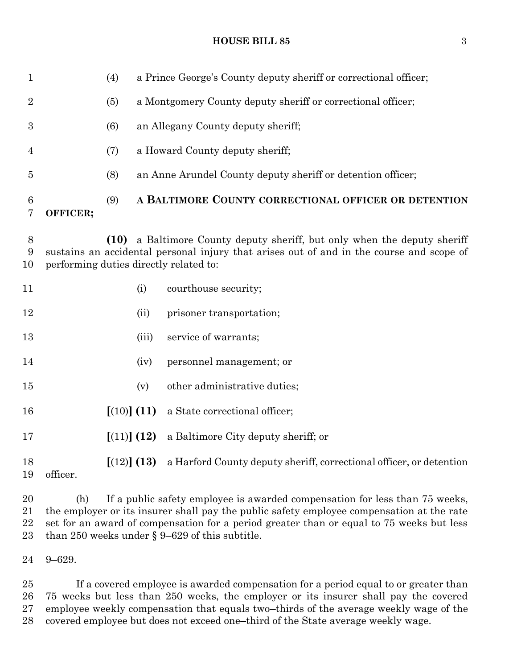#### **HOUSE BILL 85** 3

| $\mathbf{1}$     |          | (4)  |                                                                                                                                                                                                           | a Prince George's County deputy sheriff or correctional officer;    |  |  |  |
|------------------|----------|------|-----------------------------------------------------------------------------------------------------------------------------------------------------------------------------------------------------------|---------------------------------------------------------------------|--|--|--|
| $\boldsymbol{2}$ |          | (5)  |                                                                                                                                                                                                           | a Montgomery County deputy sheriff or correctional officer;         |  |  |  |
| 3                |          | (6)  |                                                                                                                                                                                                           | an Allegany County deputy sheriff;                                  |  |  |  |
| $\overline{4}$   |          | (7)  |                                                                                                                                                                                                           | a Howard County deputy sheriff;                                     |  |  |  |
| 5                |          | (8)  |                                                                                                                                                                                                           | an Anne Arundel County deputy sheriff or detention officer;         |  |  |  |
| 6<br>7           | OFFICER; | (9)  |                                                                                                                                                                                                           | A BALTIMORE COUNTY CORRECTIONAL OFFICER OR DETENTION                |  |  |  |
| $8\,$<br>9<br>10 |          | (10) | a Baltimore County deputy sheriff, but only when the deputy sheriff<br>sustains an accidental personal injury that arises out of and in the course and scope of<br>performing duties directly related to: |                                                                     |  |  |  |
| 11               |          |      | (i)                                                                                                                                                                                                       | courthouse security;                                                |  |  |  |
| 12               |          |      | (ii)                                                                                                                                                                                                      | prisoner transportation;                                            |  |  |  |
| 13               |          |      | (iii)                                                                                                                                                                                                     | service of warrants;                                                |  |  |  |
| 14               |          |      | (iv)                                                                                                                                                                                                      | personnel management; or                                            |  |  |  |
| 15               |          |      | (v)                                                                                                                                                                                                       | other administrative duties;                                        |  |  |  |
| 16               |          |      | [(10)] (11)                                                                                                                                                                                               | a State correctional officer;                                       |  |  |  |
| 17               |          |      | [(11)] (12)                                                                                                                                                                                               | a Baltimore City deputy sheriff; or                                 |  |  |  |
| 18<br>19         | officer. |      | [(12)] (13)                                                                                                                                                                                               | a Harford County deputy sheriff, correctional officer, or detention |  |  |  |

 (h) If a public safety employee is awarded compensation for less than 75 weeks, the employer or its insurer shall pay the public safety employee compensation at the rate set for an award of compensation for a period greater than or equal to 75 weeks but less than 250 weeks under § 9–629 of this subtitle.

9–629.

 If a covered employee is awarded compensation for a period equal to or greater than 75 weeks but less than 250 weeks, the employer or its insurer shall pay the covered employee weekly compensation that equals two–thirds of the average weekly wage of the covered employee but does not exceed one–third of the State average weekly wage.